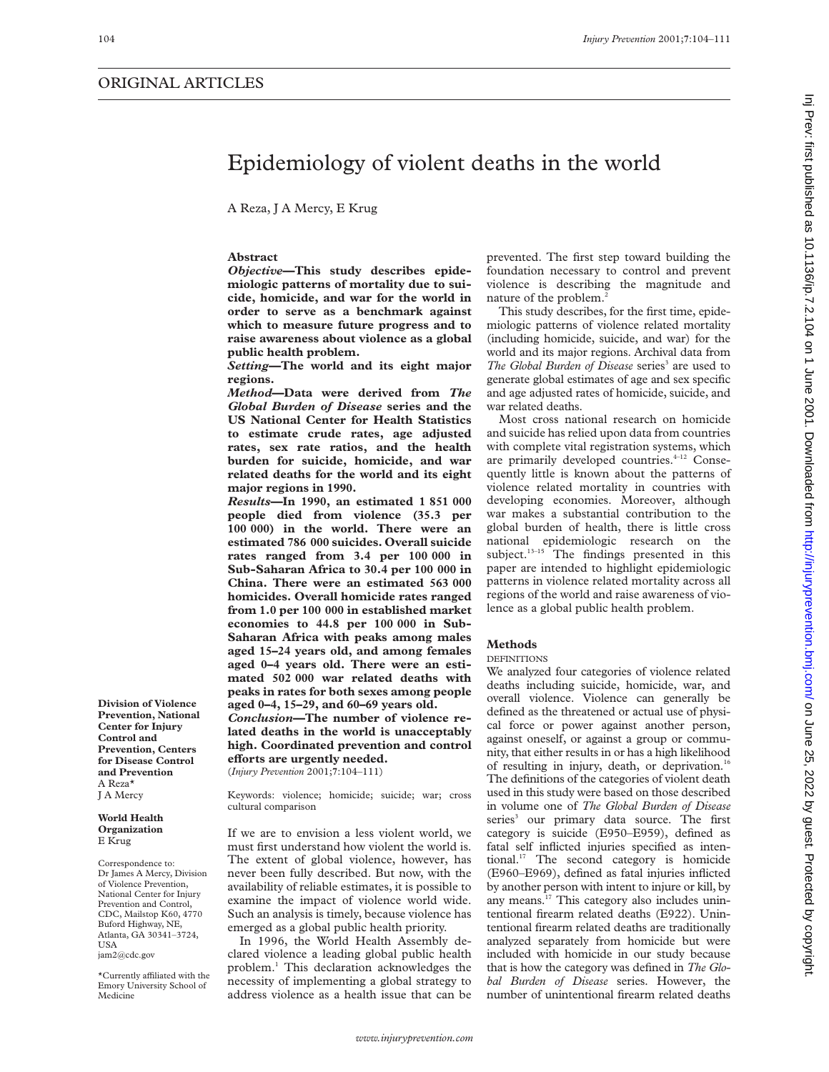# Epidemiology of violent deaths in the world

A Reza, J A Mercy, E Krug

# **Abstract**

*Objective***—This study describes epidemiologic patterns of mortality due to suicide, homicide, and war for the world in order to serve as a benchmark against which to measure future progress and to raise awareness about violence as a global public health problem.**

*Setting***—The world and its eight major regions.**

*Method***—Data were derived from** *The Global Burden of Disease* **series and the US National Center for Health Statistics to estimate crude rates, age adjusted rates, sex rate ratios, and the health burden for suicide, homicide, and war related deaths for the world and its eight major regions in 1990.**

*Results***—In 1990, an estimated 1 851 000 people died from violence (35.3 per 100 000) in the world. There were an estimated 786 000 suicides. Overall suicide rates ranged from 3.4 per 100 000 in Sub-Saharan Africa to 30.4 per 100 000 in China. There were an estimated 563 000 homicides. Overall homicide rates ranged from 1.0 per 100 000 in established market economies to 44.8 per 100 000 in Sub-Saharan Africa with peaks among males aged 15–24 years old, and among females aged 0–4 years old. There were an estimated 502 000 war related deaths with peaks in rates for both sexes among people aged 0–4, 15–29, and 60–69 years old.**

*Conclusion***—The number of violence related deaths in the world is unacceptably high. Coordinated prevention and control efforts** are urgently needed.

(*Injury Prevention* 2001;**7**:104–111)

Keywords: violence; homicide; suicide; war; cross cultural comparison

If we are to envision a less violent world, we must first understand how violent the world is. The extent of global violence, however, has never been fully described. But now, with the availability of reliable estimates, it is possible to examine the impact of violence world wide. Such an analysis is timely, because violence has emerged as a global public health priority.

In 1996, the World Health Assembly declared violence a leading global public health problem.1 This declaration acknowledges the necessity of implementing a global strategy to address violence as a health issue that can be prevented. The first step toward building the foundation necessary to control and prevent violence is describing the magnitude and nature of the problem.<sup>2</sup>

This study describes, for the first time, epidemiologic patterns of violence related mortality (including homicide, suicide, and war) for the world and its major regions. Archival data from *The Global Burden of Disease* series<sup>3</sup> are used to generate global estimates of age and sex specific and age adjusted rates of homicide, suicide, and war related deaths.

Most cross national research on homicide and suicide has relied upon data from countries with complete vital registration systems, which are primarily developed countries.<sup>4-12</sup> Consequently little is known about the patterns of violence related mortality in countries with developing economies. Moreover, although war makes a substantial contribution to the global burden of health, there is little cross national epidemiologic research on the subject.<sup>13-15</sup> The findings presented in this paper are intended to highlight epidemiologic patterns in violence related mortality across all regions of the world and raise awareness of violence as a global public health problem.

# **Methods**

#### DEFINITIONS

We analyzed four categories of violence related deaths including suicide, homicide, war, and overall violence. Violence can generally be defined as the threatened or actual use of physical force or power against another person, against oneself, or against a group or community, that either results in or has a high likelihood of resulting in injury, death, or deprivation.<sup>16</sup> The definitions of the categories of violent death used in this study were based on those described in volume one of *The Global Burden of Disease* series<sup>3</sup> our primary data source. The first category is suicide (E950–E959), defined as fatal self inflicted injuries specified as intentional.17 The second category is homicide (E960–E969), defined as fatal injuries inflicted by another person with intent to injure or kill, by any means.17 This category also includes unintentional firearm related deaths (E922). Unintentional firearm related deaths are traditionally analyzed separately from homicide but were included with homicide in our study because that is how the category was defined in *The Global Burden of Disease* series. However, the number of unintentional firearm related deaths

**Division of Violence Prevention, National Center for Injury Control and Prevention, Centers for Disease Control and Prevention** A Reza\* J A Mercy

#### **World Health Organization** E Krug

Correspondence to: Dr James A Mercy, Division of Violence Prevention, National Center for Injury Prevention and Control, CDC, Mailstop K60, 4770 Buford Highway, NE, Atlanta, GA 30341–3724, **USA** jam2@cdc.gov

\*Currently affiliated with the Emory University School of Medicine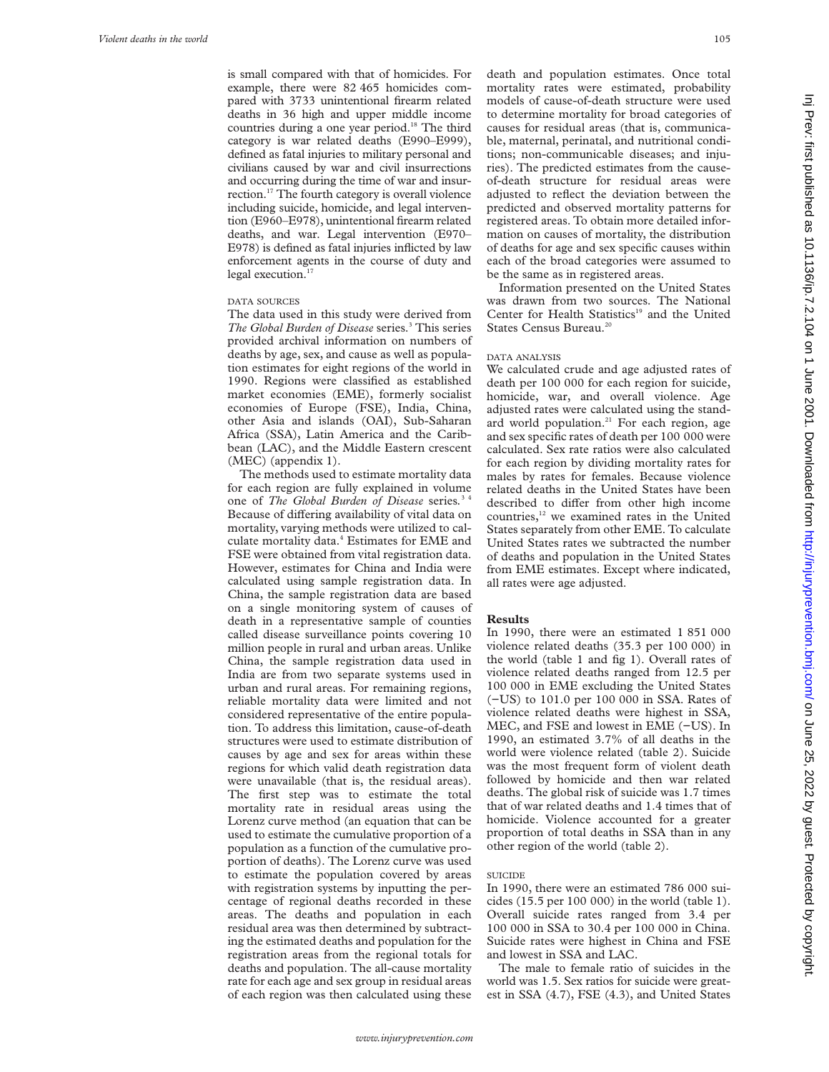is small compared with that of homicides. For example, there were 82 465 homicides compared with 3733 unintentional firearm related deaths in 36 high and upper middle income countries during a one year period.<sup>18</sup> The third category is war related deaths (E990–E999), defined as fatal injuries to military personal and civilians caused by war and civil insurrections and occurring during the time of war and insurrection.<sup>17</sup> The fourth category is overall violence including suicide, homicide, and legal intervention (E960–E978), unintentional firearm related deaths, and war. Legal intervention (E970– E978) is defined as fatal injuries inflicted by law enforcement agents in the course of duty and legal execution.<sup>17</sup>

# DATA SOURCES

The data used in this study were derived from *The Global Burden of Disease* series.<sup>3</sup> This series provided archival information on numbers of deaths by age, sex, and cause as well as population estimates for eight regions of the world in 1990. Regions were classified as established market economies (EME), formerly socialist economies of Europe (FSE), India, China, other Asia and islands (OAI), Sub-Saharan Africa (SSA), Latin America and the Caribbean (LAC), and the Middle Eastern crescent (MEC) (appendix 1).

The methods used to estimate mortality data for each region are fully explained in volume one of *The Global Burden of Disease* series*.* 3 4 Because of differing availability of vital data on mortality, varying methods were utilized to calculate mortality data.4 Estimates for EME and FSE were obtained from vital registration data. However, estimates for China and India were calculated using sample registration data. In China, the sample registration data are based on a single monitoring system of causes of death in a representative sample of counties called disease surveillance points covering 10 million people in rural and urban areas. Unlike China, the sample registration data used in India are from two separate systems used in urban and rural areas. For remaining regions, reliable mortality data were limited and not considered representative of the entire population. To address this limitation, cause-of-death structures were used to estimate distribution of causes by age and sex for areas within these regions for which valid death registration data were unavailable (that is, the residual areas). The first step was to estimate the total mortality rate in residual areas using the Lorenz curve method (an equation that can be used to estimate the cumulative proportion of a population as a function of the cumulative proportion of deaths). The Lorenz curve was used to estimate the population covered by areas with registration systems by inputting the percentage of regional deaths recorded in these areas. The deaths and population in each residual area was then determined by subtracting the estimated deaths and population for the registration areas from the regional totals for deaths and population. The all-cause mortality rate for each age and sex group in residual areas of each region was then calculated using these

death and population estimates. Once total mortality rates were estimated, probability models of cause-of-death structure were used to determine mortality for broad categories of causes for residual areas (that is, communicable, maternal, perinatal, and nutritional conditions; non-communicable diseases; and injuries). The predicted estimates from the causeof-death structure for residual areas were adjusted to reflect the deviation between the predicted and observed mortality patterns for registered areas. To obtain more detailed information on causes of mortality, the distribution of deaths for age and sex specific causes within each of the broad categories were assumed to be the same as in registered areas.

Information presented on the United States was drawn from two sources. The National Center for Health Statistics<sup>19</sup> and the United States Census Bureau.<sup>20</sup>

# DATA ANALYSIS

We calculated crude and age adjusted rates of death per 100 000 for each region for suicide, homicide, war, and overall violence. Age adjusted rates were calculated using the standard world population.<sup>21</sup> For each region, age and sex specific rates of death per 100 000 were calculated. Sex rate ratios were also calculated for each region by dividing mortality rates for males by rates for females. Because violence related deaths in the United States have been described to differ from other high income countries,12 we examined rates in the United States separately from other EME. To calculate United States rates we subtracted the number of deaths and population in the United States from EME estimates. Except where indicated, all rates were age adjusted.

#### **Results**

In 1990, there were an estimated 1 851 000 violence related deaths (35.3 per 100 000) in the world (table 1 and fig 1). Overall rates of violence related deaths ranged from 12.5 per 100 000 in EME excluding the United States (−US) to 101.0 per 100 000 in SSA. Rates of violence related deaths were highest in SSA, MEC, and FSE and lowest in EME (−US). In 1990, an estimated 3.7% of all deaths in the world were violence related (table 2). Suicide was the most frequent form of violent death followed by homicide and then war related deaths. The global risk of suicide was 1.7 times that of war related deaths and 1.4 times that of homicide. Violence accounted for a greater proportion of total deaths in SSA than in any other region of the world (table 2).

#### SUICIDE

In 1990, there were an estimated 786 000 suicides (15.5 per 100 000) in the world (table 1). Overall suicide rates ranged from 3.4 per 100 000 in SSA to 30.4 per 100 000 in China. Suicide rates were highest in China and FSE and lowest in SSA and LAC.

The male to female ratio of suicides in the world was 1.5. Sex ratios for suicide were greatest in SSA (4.7), FSE (4.3), and United States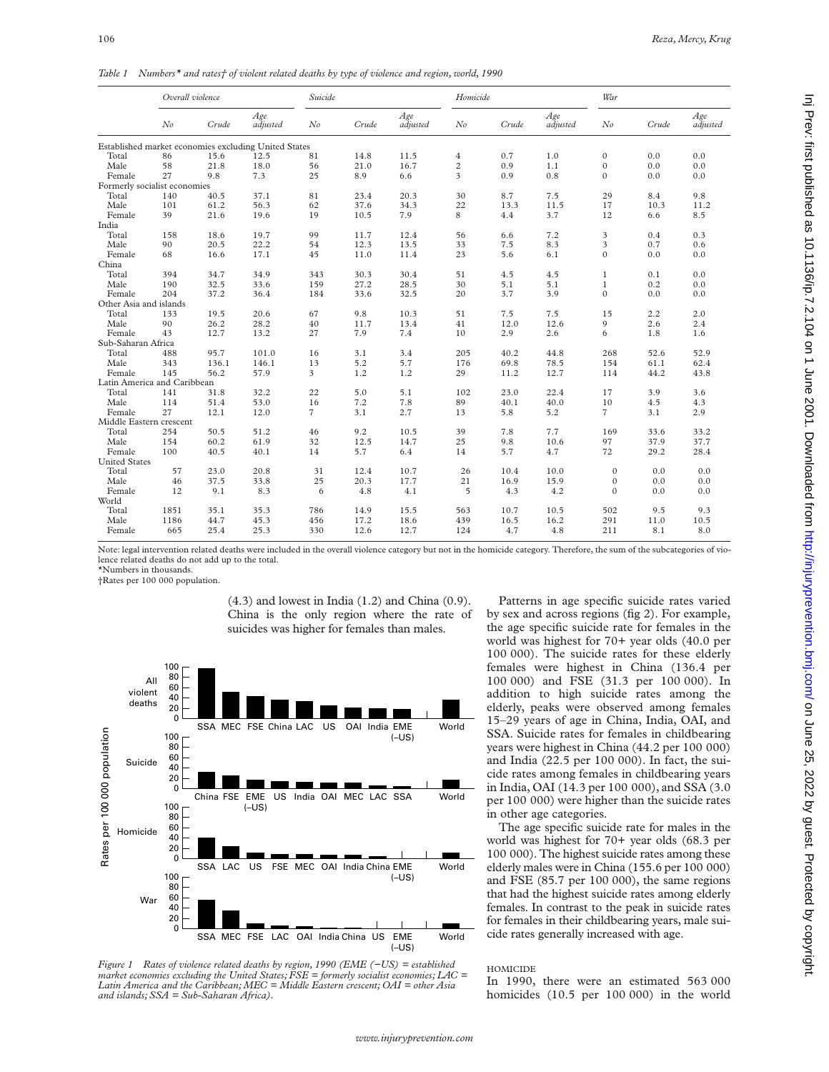*Table 1 Numbers\* and rates† of violent related deaths by type of violence and region, world, 1990*

|                              | Overall violence |       |                                                      | Suicide        |       |                 | Homicide       |       |                 | War            |       |                 |
|------------------------------|------------------|-------|------------------------------------------------------|----------------|-------|-----------------|----------------|-------|-----------------|----------------|-------|-----------------|
|                              | N <sub>o</sub>   | Crude | Age<br>adjusted                                      | $N$ o          | Crude | Age<br>adjusted | $N$ o          | Crude | Age<br>adjusted | $N$ o          | Crude | Age<br>adjusted |
|                              |                  |       | Established market economies excluding United States |                |       |                 |                |       |                 |                |       |                 |
| Total                        | 86               | 15.6  | 12.5                                                 | 81             | 14.8  | 11.5            | $\overline{4}$ | 0.7   | 1.0             | $\mathbf{0}$   | 0.0   | 0.0             |
| Male                         | 58               | 21.8  | 18.0                                                 | 56             | 21.0  | 16.7            | $\overline{c}$ | 0.9   | 1.1             | $\mathbf{0}$   | 0.0   | 0.0             |
| Female                       | 27               | 9.8   | 7.3                                                  | 25             | 8.9   | 6.6             | 3              | 0.9   | 0.8             | $\Omega$       | 0.0   | 0.0             |
| Formerly socialist economies |                  |       |                                                      |                |       |                 |                |       |                 |                |       |                 |
| Total                        | 140              | 40.5  | 37.1                                                 | 81             | 23.4  | 20.3            | 30             | 8.7   | 7.5             | 29             | 8.4   | 9.8             |
| Male                         | 101              | 61.2  | 56.3                                                 | 62             | 37.6  | 34.3            | 22             | 13.3  | 11.5            | 17             | 10.3  | 11.2            |
| Female                       | 39               | 21.6  | 19.6                                                 | 19             | 10.5  | 7.9             | 8              | 4.4   | 3.7             | 12             | 6.6   | 8.5             |
| India                        |                  |       |                                                      |                |       |                 |                |       |                 |                |       |                 |
| Total                        | 158              | 18.6  | 19.7                                                 | 99             | 11.7  | 12.4            | 56             | 6.6   | 7.2             | 3              | 0.4   | 0.3             |
| Male                         | 90               | 20.5  | 22.2                                                 | 54             | 12.3  | 13.5            | 33             | 7.5   | 8.3             | 3              | 0.7   | 0.6             |
| Female                       | 68               | 16.6  | 17.1                                                 | 45             | 11.0  | 11.4            | 23             | 5.6   | 6.1             | $\mathbf{0}$   | 0.0   | 0.0             |
| China                        |                  |       |                                                      |                |       |                 |                |       |                 |                |       |                 |
| Total                        | 394              | 34.7  | 34.9                                                 | 343            | 30.3  | 30.4            | 51             | 4.5   | 4.5             | $\mathbf{1}$   | 0.1   | 0.0             |
| Male                         | 190              | 32.5  | 33.6                                                 | 159            | 27.2  | 28.5            | 30             | 5.1   | 5.1             | $\mathbf{1}$   | 0.2   | 0.0             |
| Female                       | 204              | 37.2  | 36.4                                                 | 184            | 33.6  | 32.5            | 20             | 3.7   | 3.9             | $\mathbf{0}$   | 0.0   | 0.0             |
| Other Asia and islands       |                  |       |                                                      |                |       |                 |                |       |                 |                |       |                 |
| Total                        | 133              | 19.5  | 20.6                                                 | 67             | 9.8   | 10.3            | 51             | 7.5   | 7.5             | 15             | 2.2   | 2.0             |
| Male                         | 90               | 26.2  | 28.2                                                 | 40             | 11.7  | 13.4            | 41             | 12.0  | 12.6            | 9              | 2.6   | 2.4             |
| Female                       | 43               | 12.7  | 13.2                                                 | 27             | 7.9   | 7.4             | 10             | 2.9   | 2.6             | 6              | 1.8   | 1.6             |
| Sub-Saharan Africa           |                  |       |                                                      |                |       |                 |                |       |                 |                |       |                 |
| Total                        | 488              | 95.7  | 101.0                                                | 16             | 3.1   | 3.4             | 205            | 40.2  | 44.8            | 268            | 52.6  | 52.9            |
| Male                         | 343              | 136.1 | 146.1                                                | 13             | 5.2   | 5.7             | 176            | 69.8  | 78.5            | 154            | 61.1  | 62.4            |
| Female                       | 145              | 56.2  | 57.9                                                 | 3              | 1.2   | 1.2             | 29             | 11.2  | 12.7            | 114            | 44.2  | 43.8            |
| Latin America and Caribbean  |                  |       |                                                      |                |       |                 |                |       |                 |                |       |                 |
| Total                        | 141              | 31.8  | 32.2                                                 | 22             | 5.0   | 5.1             | 102            | 23.0  | 22.4            | 17             | 3.9   | 3.6             |
| Male                         | 114              | 51.4  | 53.0                                                 | 16             | 7.2   | 7.8             | 89             | 40.1  | 40.0            | 10             | 4.5   | 4.3             |
| Female                       | 27               | 12.1  | 12.0                                                 | $\overline{7}$ | 3.1   | 2.7             | 13             | 5.8   | 5.2             | $\overline{7}$ | 3.1   | 2.9             |
| Middle Eastern crescent      |                  |       |                                                      |                |       |                 |                |       |                 |                |       |                 |
| Total                        | 254              | 50.5  | 51.2                                                 | 46             | 9.2   | 10.5            | 39             | 7.8   | 7.7             | 169            | 33.6  | 33.2            |
| Male                         | 154              | 60.2  | 61.9                                                 | 32             | 12.5  | 14.7            | 25             | 9.8   | 10.6            | 97             | 37.9  | 37.7            |
| Female                       | 100              | 40.5  | 40.1                                                 | 14             | 5.7   | 6.4             | 14             | 5.7   | 4.7             | 72             | 29.2  | 28.4            |
| <b>United States</b>         |                  |       |                                                      |                |       |                 |                |       |                 |                |       |                 |
| Total                        | 57               | 23.0  | 20.8                                                 | 31             | 12.4  | 10.7            | 26             | 10.4  | 10.0            | $\mathbf{0}$   | 0.0   | 0.0             |
| Male                         | 46               | 37.5  | 33.8                                                 | 25             | 20.3  | 17.7            | 21             | 16.9  | 15.9            | $\mathbf{0}$   | 0.0   | 0.0             |
| Female                       | 12               | 9.1   | 8.3                                                  | 6              | 4.8   | 4.1             | 5              | 4.3   | 4.2             | $\Omega$       | 0.0   | 0.0             |
| World                        |                  |       |                                                      |                |       |                 |                |       |                 |                |       |                 |
| Total                        | 1851             | 35.1  | 35.3                                                 | 786            | 14.9  | 15.5            | 563            | 10.7  | 10.5            | 502            | 9.5   | 9.3             |
| Male                         | 1186             | 44.7  | 45.3                                                 | 456            | 17.2  | 18.6            | 439            | 16.5  | 16.2            | 291            | 11.0  | 10.5            |
| Female                       | 665              | 25.4  | 25.3                                                 | 330            | 12.6  | 12.7            | 124            | 4.7   | 4.8             | 211            | 8.1   | 8.0             |

Note: legal intervention related deaths were included in the overall violence category but not in the homicide category. Therefore, the sum of the subcategories of violence related deaths do not add up to the total.

\*Numbers in thousands.

†Rates per 100 000 population.



(4.3) and lowest in India (1.2) and China (0.9). China is the only region where the rate of suicides was higher for females than males.

*Figure 1 Rates of violence related deaths by region, 1990 (EME (−US) = established market economies excluding the United States; FSE = formerly socialist economies; LAC = Latin America and the Caribbean; MEC = Middle Eastern crescent; OAI = other Asia and islands; SSA = Sub-Saharan Africa).*

Patterns in age specific suicide rates varied by sex and across regions (fig 2). For example, the age specific suicide rate for females in the world was highest for 70+ year olds (40.0 per 100 000). The suicide rates for these elderly females were highest in China (136.4 per 100 000) and FSE (31.3 per 100 000). In addition to high suicide rates among the elderly, peaks were observed among females 15–29 years of age in China, India, OAI, and SSA. Suicide rates for females in childbearing years were highest in China (44.2 per 100 000) and India (22.5 per 100 000). In fact, the suicide rates among females in childbearing years in India, OAI (14.3 per 100 000), and SSA (3.0 per 100 000) were higher than the suicide rates in other age categories.

The age specific suicide rate for males in the world was highest for 70+ year olds (68.3 per 100 000). The highest suicide rates among these elderly males were in China (155.6 per 100 000) and FSE (85.7 per 100 000), the same regions that had the highest suicide rates among elderly females. In contrast to the peak in suicide rates for females in their childbearing years, male suicide rates generally increased with age.

# HOMICIDE

In 1990, there were an estimated 563 000 homicides (10.5 per 100 000) in the world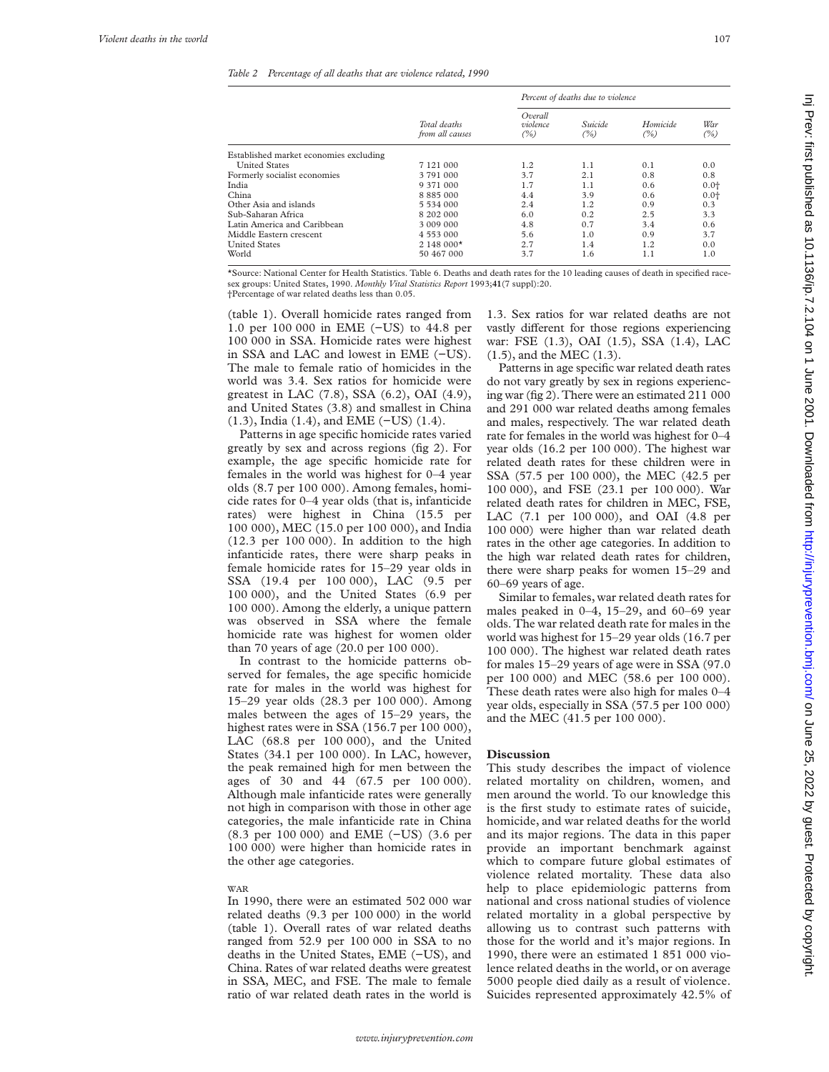#### *Table 2 Percentage of all deaths that are violence related, 1990*

|                                        |                                 | Percent of deaths due to violence |                                   |     |            |  |  |  |
|----------------------------------------|---------------------------------|-----------------------------------|-----------------------------------|-----|------------|--|--|--|
|                                        | Total deaths<br>from all causes | Overall<br>violence<br>(%)        | Suicide<br>Homicide<br>(%)<br>(%) |     | War<br>(%) |  |  |  |
| Established market economies excluding |                                 |                                   |                                   |     |            |  |  |  |
| <b>United States</b>                   | 7 1 2 1 0 0 0                   | 1.2                               | 1.1                               | 0.1 | 0.0        |  |  |  |
| Formerly socialist economies           | 3 791 000                       | 3.7                               | 2.1                               | 0.8 | 0.8        |  |  |  |
| India                                  | 9 371 000                       | 1.7                               | 1.1                               | 0.6 | $0.0 +$    |  |  |  |
| China                                  | 8 8 8 5 0 0 0                   | 4.4                               | 3.9                               | 0.6 | $0.0^{+}$  |  |  |  |
| Other Asia and islands                 | 5 534 000                       | 2.4                               | 1.2                               | 0.9 | 0.3        |  |  |  |
| Sub-Saharan Africa                     | 8 202 000                       | 6.0                               | 0.2                               | 2.5 | 3.3        |  |  |  |
| Latin America and Caribbean            | 3 009 000                       | 4.8                               | 0.7                               | 3.4 | 0.6        |  |  |  |
| Middle Eastern crescent                | 4 553 000                       | 5.6                               | 1.0                               | 0.9 | 3.7        |  |  |  |
| <b>United States</b>                   | $2148000*$                      | 2.7                               | 1.4                               | 1.2 | 0.0        |  |  |  |
| World                                  | 50 467 000                      | 3.7                               | 1.6                               | 1.1 | 1.0        |  |  |  |

\*Source: National Center for Health Statistics. Table 6. Deaths and death rates for the 10 leading causes of death in specified racesex groups: United States, 1990. *Monthly Vital Statistics Report* 1993;**41**(7 suppl):20. †Percentage of war related deaths less than 0.05.

(table 1). Overall homicide rates ranged from 1.0 per 100 000 in EME (−US) to 44.8 per 100 000 in SSA. Homicide rates were highest in SSA and LAC and lowest in EME (−US). The male to female ratio of homicides in the world was 3.4. Sex ratios for homicide were greatest in LAC (7.8), SSA (6.2), OAI (4.9), and United States (3.8) and smallest in China

(1.3), India (1.4), and EME (−US) (1.4). Patterns in age specific homicide rates varied greatly by sex and across regions (fig 2). For example, the age specific homicide rate for females in the world was highest for 0–4 year olds (8.7 per 100 000). Among females, homicide rates for 0–4 year olds (that is, infanticide rates) were highest in China (15.5 per 100 000), MEC (15.0 per 100 000), and India (12.3 per 100 000). In addition to the high infanticide rates, there were sharp peaks in female homicide rates for 15–29 year olds in SSA (19.4 per 100 000), LAC (9.5 per 100 000), and the United States (6.9 per 100 000). Among the elderly, a unique pattern was observed in SSA where the female homicide rate was highest for women older than 70 years of age (20.0 per 100 000).

In contrast to the homicide patterns observed for females, the age specific homicide rate for males in the world was highest for 15–29 year olds (28.3 per 100 000). Among males between the ages of 15–29 years, the highest rates were in SSA (156.7 per 100 000), LAC (68.8 per 100 000), and the United States (34.1 per 100 000). In LAC, however, the peak remained high for men between the ages of 30 and 44 (67.5 per 100 000). Although male infanticide rates were generally not high in comparison with those in other age categories, the male infanticide rate in China (8.3 per 100 000) and EME (−US) (3.6 per 100 000) were higher than homicide rates in the other age categories.

#### WAR

In 1990, there were an estimated 502 000 war related deaths (9.3 per 100 000) in the world (table 1). Overall rates of war related deaths ranged from 52.9 per 100 000 in SSA to no deaths in the United States, EME (−US), and China. Rates of war related deaths were greatest in SSA, MEC, and FSE. The male to female ratio of war related death rates in the world is 1.3. Sex ratios for war related deaths are not vastly different for those regions experiencing war: FSE (1.3), OAI (1.5), SSA (1.4), LAC (1.5), and the MEC (1.3).

Patterns in age specific war related death rates do not vary greatly by sex in regions experiencing war (fig 2). There were an estimated 211 000 and 291 000 war related deaths among females and males, respectively. The war related death rate for females in the world was highest for 0–4 year olds (16.2 per 100 000). The highest war related death rates for these children were in SSA (57.5 per 100 000), the MEC (42.5 per 100 000), and FSE (23.1 per 100 000). War related death rates for children in MEC, FSE, LAC (7.1 per 100 000), and OAI (4.8 per 100 000) were higher than war related death rates in the other age categories. In addition to the high war related death rates for children, there were sharp peaks for women 15–29 and 60–69 years of age.

Similar to females, war related death rates for males peaked in 0–4, 15–29, and 60–69 year olds. The war related death rate for males in the world was highest for 15–29 year olds (16.7 per 100 000). The highest war related death rates for males 15–29 years of age were in SSA (97.0 per 100 000) and MEC (58.6 per 100 000). These death rates were also high for males 0–4 year olds, especially in SSA (57.5 per 100 000) and the MEC (41.5 per 100 000).

# **Discussion**

This study describes the impact of violence related mortality on children, women, and men around the world. To our knowledge this is the first study to estimate rates of suicide, homicide, and war related deaths for the world and its major regions. The data in this paper provide an important benchmark against which to compare future global estimates of violence related mortality. These data also help to place epidemiologic patterns from national and cross national studies of violence related mortality in a global perspective by allowing us to contrast such patterns with those for the world and it's major regions. In 1990, there were an estimated 1 851 000 violence related deaths in the world, or on average 5000 people died daily as a result of violence. Suicides represented approximately 42.5% of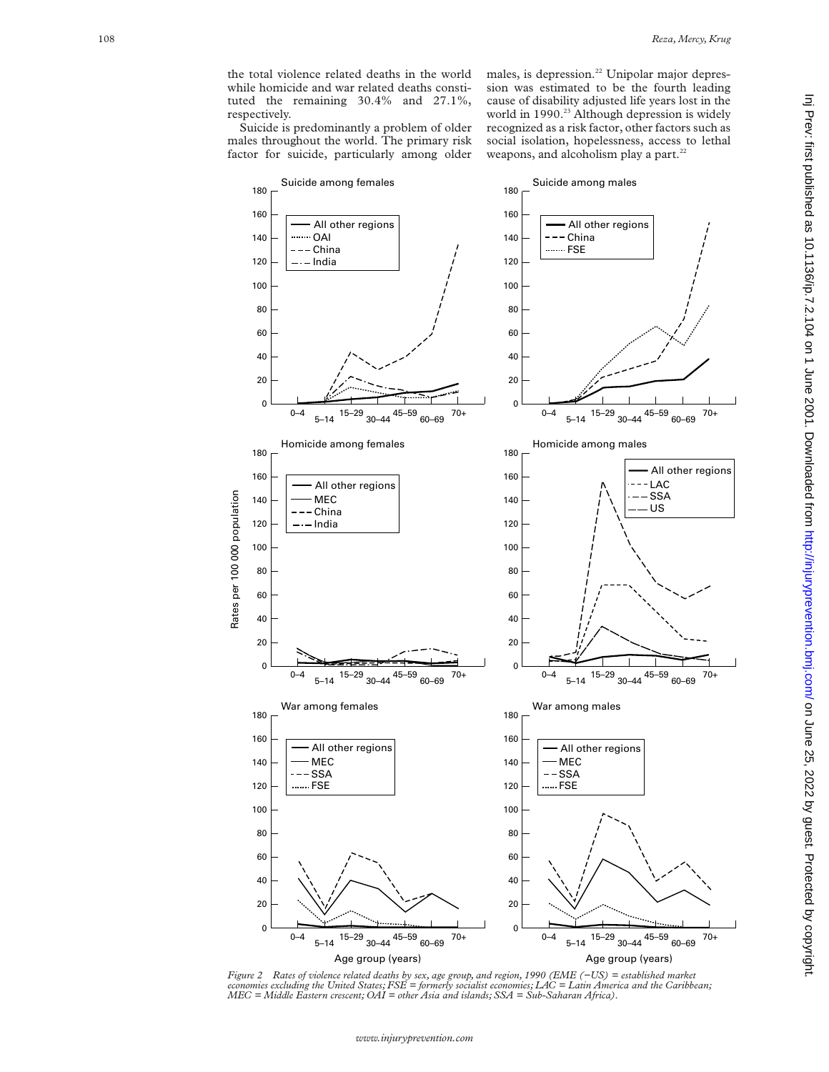the total violence related deaths in the world while homicide and war related deaths constituted the remaining 30.4% and 27.1%, respectively.

Suicide is predominantly a problem of older males throughout the world. The primary risk factor for suicide, particularly among older males, is depression.<sup>22</sup> Unipolar major depression was estimated to be the fourth leading cause of disability adjusted life years lost in the world in 1990.<sup>23</sup> Although depression is widely recognized as a risk factor, other factors such as social isolation, hopelessness, access to lethal weapons, and alcoholism play a part.<sup>22</sup>



*Figure 2 Rates of violence related deaths by sex, age group, and region, 1990 (EME (−US) = established market economies excluding the United States; FSE = formerly socialist economies; LAC = Latin America and the Caribbean; MEC = Middle Eastern crescent; OAI = other Asia and islands; SSA = Sub-Saharan Africa).*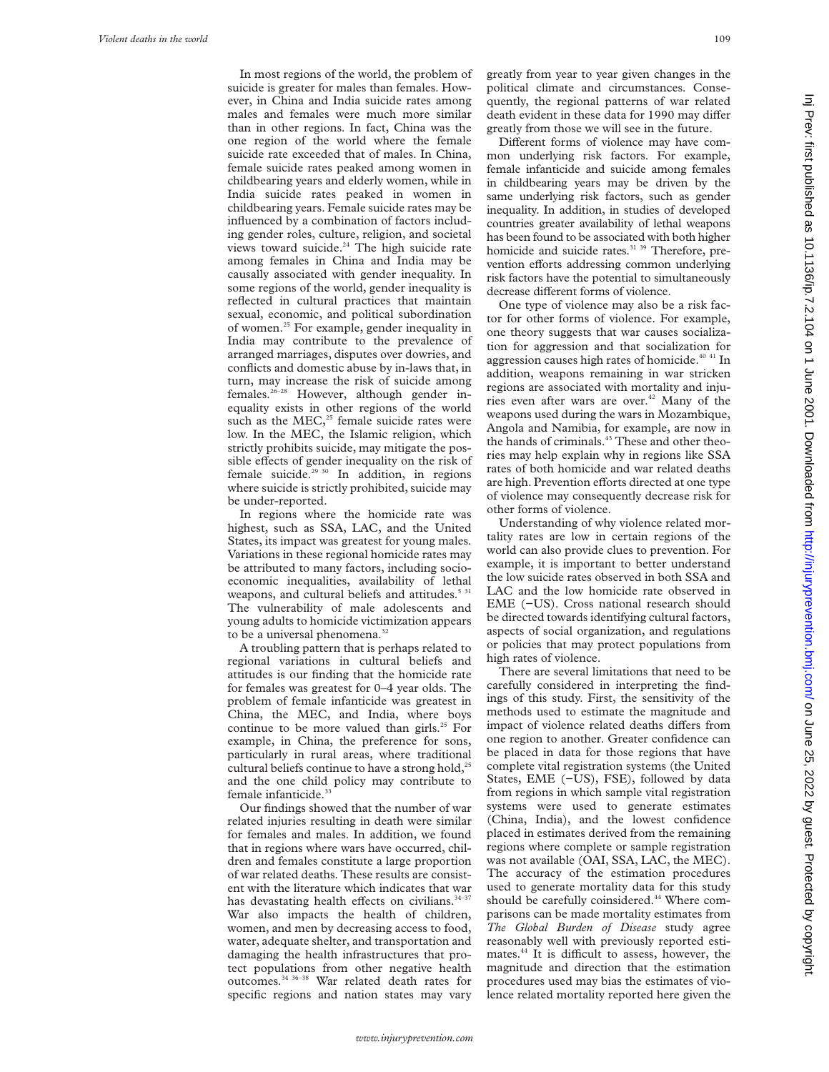In most regions of the world, the problem of suicide is greater for males than females. However, in China and India suicide rates among males and females were much more similar than in other regions. In fact, China was the one region of the world where the female suicide rate exceeded that of males. In China, female suicide rates peaked among women in childbearing years and elderly women, while in India suicide rates peaked in women in childbearing years. Female suicide rates may be influenced by a combination of factors including gender roles, culture, religion, and societal views toward suicide.<sup>24</sup> The high suicide rate among females in China and India may be causally associated with gender inequality. In some regions of the world, gender inequality is reflected in cultural practices that maintain sexual, economic, and political subordination of women.<sup>25</sup> For example, gender inequality in India may contribute to the prevalence of arranged marriages, disputes over dowries, and conflicts and domestic abuse by in-laws that, in turn, may increase the risk of suicide among females.<sup>26-28</sup> However, although gender inequality exists in other regions of the world such as the  $MEC<sub>25</sub>$  female suicide rates were low. In the MEC, the Islamic religion, which strictly prohibits suicide, may mitigate the possible effects of gender inequality on the risk of female suicide.<sup>29 30</sup> In addition, in regions where suicide is strictly prohibited, suicide may be under-reported.

In regions where the homicide rate was highest, such as SSA, LAC, and the United States, its impact was greatest for young males. Variations in these regional homicide rates may be attributed to many factors, including socioeconomic inequalities, availability of lethal weapons, and cultural beliefs and attitudes.<sup>5 31</sup> The vulnerability of male adolescents and young adults to homicide victimization appears to be a universal phenomena.<sup>32</sup>

A troubling pattern that is perhaps related to regional variations in cultural beliefs and attitudes is our finding that the homicide rate for females was greatest for 0–4 year olds. The problem of female infanticide was greatest in China, the MEC, and India, where boys continue to be more valued than girls.<sup>25</sup> For example, in China, the preference for sons, particularly in rural areas, where traditional cultural beliefs continue to have a strong hold,<sup>25</sup> and the one child policy may contribute to female infanticide.<sup>3</sup>

Our findings showed that the number of war related injuries resulting in death were similar for females and males. In addition, we found that in regions where wars have occurred, children and females constitute a large proportion of war related deaths. These results are consistent with the literature which indicates that war has devastating health effects on civilians.<sup>34-37</sup> War also impacts the health of children, women, and men by decreasing access to food, water, adequate shelter, and transportation and damaging the health infrastructures that protect populations from other negative health outcomes.34 36–38 War related death rates for specific regions and nation states may vary

greatly from year to year given changes in the political climate and circumstances. Consequently, the regional patterns of war related death evident in these data for 1990 may differ greatly from those we will see in the future.

Different forms of violence may have common underlying risk factors. For example, female infanticide and suicide among females in childbearing years may be driven by the same underlying risk factors, such as gender inequality. In addition, in studies of developed countries greater availability of lethal weapons has been found to be associated with both higher homicide and suicide rates.<sup>31 39</sup> Therefore, prevention efforts addressing common underlying risk factors have the potential to simultaneously decrease different forms of violence.

One type of violence may also be a risk factor for other forms of violence. For example, one theory suggests that war causes socialization for aggression and that socialization for aggression causes high rates of homicide.<sup>40 41</sup> In addition, weapons remaining in war stricken regions are associated with mortality and injuries even after wars are over.<sup>42</sup> Many of the weapons used during the wars in Mozambique, Angola and Namibia, for example, are now in the hands of criminals.<sup>43</sup> These and other theories may help explain why in regions like SSA rates of both homicide and war related deaths are high. Prevention efforts directed at one type of violence may consequently decrease risk for other forms of violence.

Understanding of why violence related mortality rates are low in certain regions of the world can also provide clues to prevention. For example, it is important to better understand the low suicide rates observed in both SSA and LAC and the low homicide rate observed in EME (−US). Cross national research should be directed towards identifying cultural factors, aspects of social organization, and regulations or policies that may protect populations from high rates of violence.

There are several limitations that need to be carefully considered in interpreting the findings of this study. First, the sensitivity of the methods used to estimate the magnitude and impact of violence related deaths differs from one region to another. Greater confidence can be placed in data for those regions that have complete vital registration systems (the United States, EME (−US), FSE), followed by data from regions in which sample vital registration systems were used to generate estimates (China, India), and the lowest confidence placed in estimates derived from the remaining regions where complete or sample registration was not available (OAI, SSA, LAC, the MEC). The accuracy of the estimation procedures used to generate mortality data for this study should be carefully coinsidered.<sup>44</sup> Where comparisons can be made mortality estimates from *The Global Burden of Disease* study agree reasonably well with previously reported estimates.<sup>44</sup> It is difficult to assess, however, the magnitude and direction that the estimation procedures used may bias the estimates of violence related mortality reported here given the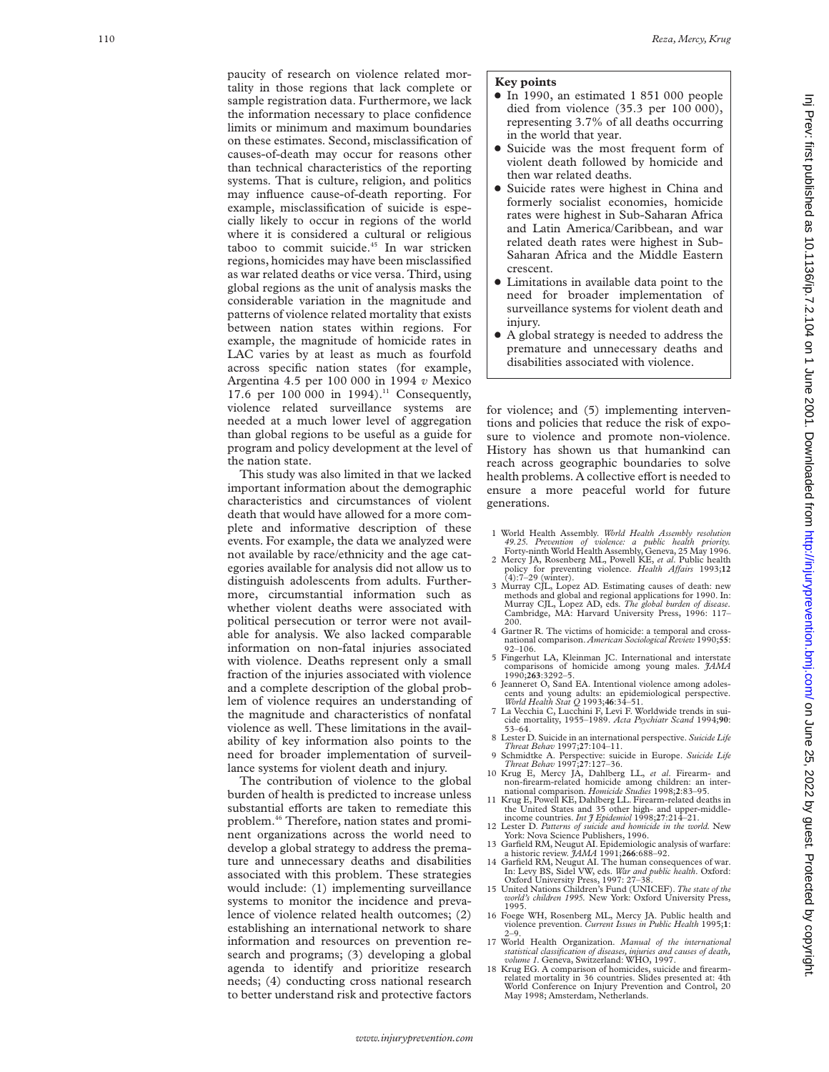paucity of research on violence related mortality in those regions that lack complete or sample registration data. Furthermore, we lack the information necessary to place confidence limits or minimum and maximum boundaries on these estimates. Second, misclassification of causes-of-death may occur for reasons other than technical characteristics of the reporting systems. That is culture, religion, and politics may influence cause-of-death reporting. For example, misclassification of suicide is especially likely to occur in regions of the world where it is considered a cultural or religious taboo to commit suicide.45 In war stricken regions, homicides may have been misclassified as war related deaths or vice versa. Third, using global regions as the unit of analysis masks the considerable variation in the magnitude and patterns of violence related mortality that exists between nation states within regions. For example, the magnitude of homicide rates in LAC varies by at least as much as fourfold across specific nation states (for example, Argentina 4.5 per 100 000 in 1994 *v* Mexico 17.6 per 100 000 in 1994).<sup>11</sup> Consequently, violence related surveillance systems are needed at a much lower level of aggregation than global regions to be useful as a guide for program and policy development at the level of the nation state.

This study was also limited in that we lacked important information about the demographic characteristics and circumstances of violent death that would have allowed for a more complete and informative description of these events. For example, the data we analyzed were not available by race/ethnicity and the age categories available for analysis did not allow us to distinguish adolescents from adults. Furthermore, circumstantial information such as whether violent deaths were associated with political persecution or terror were not available for analysis. We also lacked comparable information on non-fatal injuries associated with violence. Deaths represent only a small fraction of the injuries associated with violence and a complete description of the global problem of violence requires an understanding of the magnitude and characteristics of nonfatal violence as well. These limitations in the availability of key information also points to the need for broader implementation of surveillance systems for violent death and injury.

The contribution of violence to the global burden of health is predicted to increase unless substantial efforts are taken to remediate this problem.46 Therefore, nation states and prominent organizations across the world need to develop a global strategy to address the premature and unnecessary deaths and disabilities associated with this problem. These strategies would include: (1) implementing surveillance systems to monitor the incidence and prevalence of violence related health outcomes; (2) establishing an international network to share information and resources on prevention research and programs; (3) developing a global agenda to identify and prioritize research needs; (4) conducting cross national research to better understand risk and protective factors

# **Key points**

- $\bullet$  In 1990, an estimated 1 851 000 people died from violence (35.3 per 100 000), representing 3.7% of all deaths occurring in the world that year.
- Suicide was the most frequent form of violent death followed by homicide and then war related deaths.
- Suicide rates were highest in China and formerly socialist economies, homicide rates were highest in Sub-Saharan Africa and Latin America/Caribbean, and war related death rates were highest in Sub-Saharan Africa and the Middle Eastern crescent.
- Limitations in available data point to the need for broader implementation of surveillance systems for violent death and injury.
- A global strategy is needed to address the premature and unnecessary deaths and disabilities associated with violence.

for violence; and (5) implementing interventions and policies that reduce the risk of exposure to violence and promote non-violence. History has shown us that humankind can reach across geographic boundaries to solve health problems. A collective effort is needed to ensure a more peaceful world for future generations.

- 1 World Health Assembly. *World Health Assembly resolution 49.25. Prevention of violence: a public health priority.* Forty-ninth World Health Assembly, Geneva, 25 May 1996.
- 2 Mercy JA, Rosenberg ML, Powell KE, *et al*. Public health policy for preventing violence. *Health AVairs* 1993;**12** (4):7–29 (winter).
- 3 Murray CJL, Lopez AD. Estimating causes of death: new methods and global and regional applications for 1990. In: Murray CJL, Lopez AD, eds. *The global burden of disease.* Cambridge, MA: Harvard University Press, 1996: 117– 200.
- 4 Gartner R. The victims of homicide: a temporal and cross-national comparison. *American Sociological Review* 1990;**55**: 92–106.
- 5 Fingerhut LA, Kleinman JC. International and interstate comparisons of homicide among young males. *JAMA* 1990;**263**:3292–5.
- 6 Jeanneret O, Sand EA. Intentional violence among adolescents and young adults: an epidemiological perspective.
- *World Health Stat Q* 1993;**46**:34–51. 7 La Vecchia C, Lucchini F, Levi F. Worldwide trends in suicide mortality, 1955–1989. *Acta Psychiatr Scand* 1994;**90**: 53–64.
- 8 Lester D. Suicide in an international perspective. *Suicide Life Threat Behav* 1997;**27**:104–11.
- 9 Schmidtke A. Perspective: suicide in Europe. *Suicide Life Threat Behav* 1997;**27**:127–36.
- 10 Krug E, Mercy JA, Dahlberg LL, *et al*. Firearm- and non-firearm-related homicide among children: an inter-national comparison. *Homicide Studies* 1998;**2**:83–95.
- 11 Krug E, Powell KE, Dahlberg LL. Firearm-related deaths in the United States and 35 other high- and upper-middle-<br>income countries. *Int J Epidemiol* 1998;27:214–21.<br>12 Lester D. *Patterns of suicide and homicide in the world*. New
- York: Nova Science Publishers, 1996.
- 13 Garfield RM, Neugut AI. Epidemiologic analysis of warfare: a historic review. *JAMA* 1991;**266**:688–92. 14 Garfield RM, Neugut AI. The human consequences of war.
- In: Levy BS, Sidel VW, eds. *War and public health*. Oxford: Oxford University Press, 1997: 27–38.
- 15 United Nations Children's Fund (UNICEF). *The state of the world's children 1995.* New York: Oxford University Press,
- 1995. 16 Foege WH, Rosenberg ML, Mercy JA. Public health and violence prevention. *Current Issues in Public Health* 1995; **1** : 2–9.
- 17 World Health Organization. *Manual of the international statistical classification of diseases, injuries and causes of death,*
- *volume 1.* Geneva, Switzerland: WHO, 1997. 18 Krug EG. A comparison of homicides, suicide and firearmrelated mortality in 36 countries. Slides presented at: 4th World Conference on Injury Prevention and Control, 20 May 1998; Amsterdam, Netherlands.